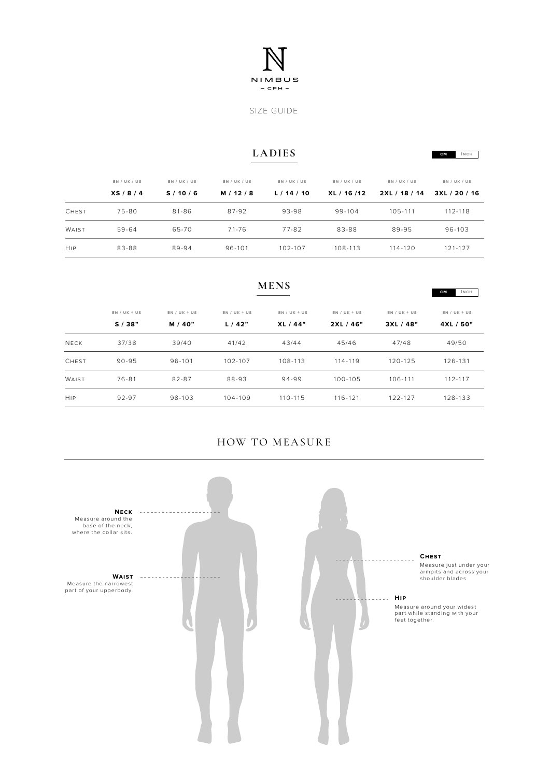

SIZE GUIDE

## **LADIES**

**cm Inch**

|              | EN / UK / US<br>XS/8/4 | EN / UK / US<br>S/10/6 | EN / UK / US<br>M / 12 / 8 | EN / UK / US<br>L/14/10 | EN / UK / US<br>XL / 16 /12 | EN / UK / US<br>2XL / 18 / 14 | EN / UK / US<br>3XL / 20 / 16 |
|--------------|------------------------|------------------------|----------------------------|-------------------------|-----------------------------|-------------------------------|-------------------------------|
|              |                        |                        |                            |                         |                             |                               |                               |
| <b>CHEST</b> | $75 - 80$              | $81 - 86$              | 87-92                      | 93-98                   | 99-104                      | 105-111                       | 112-118                       |
| WAIST        | 59-64                  | 65-70                  | 71-76                      | 77-82                   | 83-88                       | 89-95                         | 96-103                        |
| <b>HIP</b>   | 83-88                  | 89-94                  | 96-101                     | 102-107                 | 108-113                     | $114 - 120$                   | 121-127                       |

|              | <b>CM</b>      |                |                |                |                |                |                |  |
|--------------|----------------|----------------|----------------|----------------|----------------|----------------|----------------|--|
|              | $EN / UK + US$ | $EN / UK + US$ | $EN / UK + US$ | $EN / UK + US$ | $EN / UK + US$ | $EN / UK + US$ | $EN / UK + US$ |  |
|              | S/38"          | M / 40"        | L/42"          | XL/44"         | 2XL/46"        | 3XL / 48"      | 4XL / 50"      |  |
| <b>NECK</b>  | 37/38          | 39/40          | 41/42          | 43/44          | 45/46          | 47/48          | 49/50          |  |
| <b>CHEST</b> | $90 - 95$      | 96-101         | 102-107        | 108-113        | 114-119        | $120 - 125$    | 126-131        |  |
| WAIST        | 76-81          | 82-87          | 88-93          | 94-99          | 100-105        | 106-111        | 112-117        |  |
| HIP          | 92-97          | 98-103         | $104 - 109$    | 110-115        | $116 - 121$    | 122-127        | 128-133        |  |

**MENS**

## HOW TO MEASURE